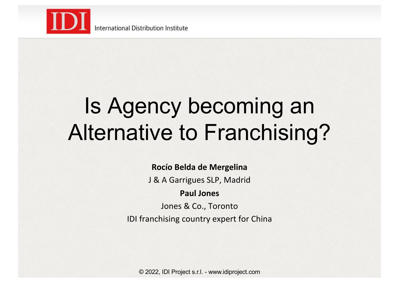

International Distribution Institute

### Is Agency becoming an Alternative to Franchising?

#### **Rocío Belda de Mergelina**

J & A Garrigues SLP, Madrid

#### **Paul Jones**

Jones & Co., Toronto IDI franchising country expert for China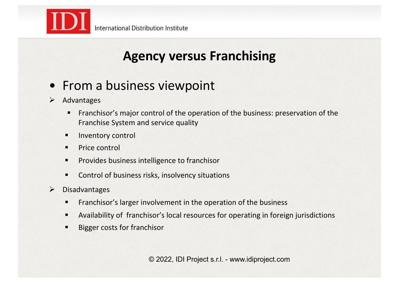

### **Agency versus Franchising**

### • From a business viewpoint

- $\triangleright$  Advantages
	- Franchisor's major control of the operation of the business: preservation of the Franchise System and service quality
	- **"** Inventory control
	- **Price control**
	- **•** Provides business intelligence to franchisor
	- **"** Control of business risks, insolvency situations
- $\triangleright$  Disadvantages
	- **Figure 1.5 Franchisor's larger involvement in the operation of the business**
	- " Availability of franchisor's local resources for operating in foreign jurisdictions
	- " Bigger costs for franchisor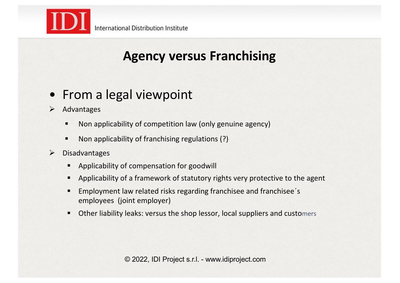

### **Agency versus Franchising**

#### • From a legal viewpoint

- $\triangleright$  Advantages
	- " Non applicability of competition law (only genuine agency)
	- " Non applicability of franchising regulations (?)
- $\triangleright$  Disadvantages
	- Applicability of compensation for goodwill
	- Applicability of a framework of statutory rights very protective to the agent
	- Employment law related risks regarding franchisee and franchisee's employees (joint employer)
	- Other liability leaks: versus the shop lessor, local suppliers and customers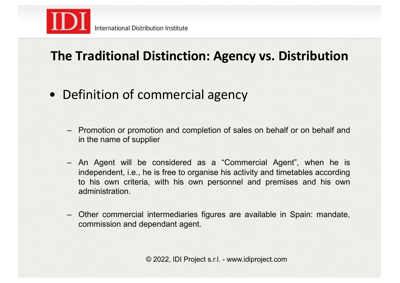

### **The Traditional Distinction: Agency vs. Distribution**

- Definition of commercial agency
	- Promotion or promotion and completion of sales on behalf or on behalf and in the name of supplier
	- An Agent will be considered as a "Commercial Agent", when he is independent, i.e., he is free to organise his activity and timetables according to his own criteria, with his own personnel and premises and his own administration.
	- Other commercial intermediaries figures are available in Spain: mandate, commission and dependant agent.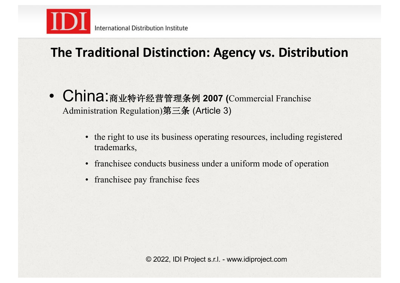

### **The Traditional Distinction: Agency vs. Distribution**

- China:商业特许经营管理条例 **2007 (**Commercial Franchise Administration Regulation)第三条 (Article 3)
	- the right to use its business operating resources, including registered trademarks,
	- franchisee conducts business under a uniform mode of operation
	- franchisee pay franchise fees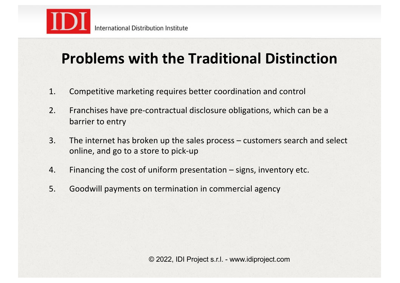

### **Problems with the Traditional Distinction**

- 1. Competitive marketing requires better coordination and control
- 2. Franchises have pre-contractual disclosure obligations, which can be a barrier to entry
- 3. The internet has broken up the sales process customers search and select online, and go to a store to pick-up
- 4. Financing the cost of uniform presentation signs, inventory etc.
- 5. Goodwill payments on termination in commercial agency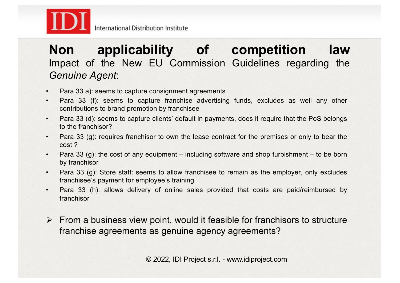

#### **Non applicability of competition law** Impact of the New EU Commission Guidelines regarding the *Genuine Agent*:

- Para 33 a): seems to capture consignment agreements
- Para 33 (f): seems to capture franchise advertising funds, excludes as well any other contributions to brand promotion by franchisee
- Para 33 (d): seems to capture clients' default in payments, does it require that the PoS belongs to the franchisor?
- Para 33 (g): requires franchisor to own the lease contract for the premises or only to bear the cost ?
- Para 33 (g): the cost of any equipment including software and shop furbishment to be born by franchisor
- Para 33 (g): Store staff: seems to allow franchisee to remain as the employer, only excludes franchisee's payment for employee's training
- Para 33 (h): allows delivery of online sales provided that costs are paid/reimbursed by franchisor
- $\triangleright$  From a business view point, would it feasible for franchisors to structure franchise agreements as genuine agency agreements?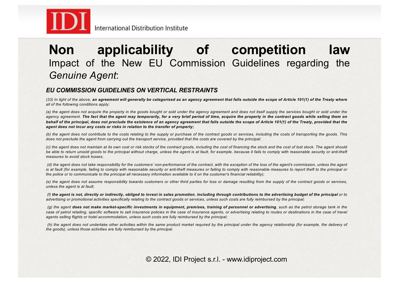

#### **Non applicability of competition law** Impact of the New EU Commission Guidelines regarding the *Genuine Agent*:

#### *EU COMMISSION GUIDELINES ON VERTICAL RESTRAINTS*

(33) In light of the above, an agreement will generally be categorised as an agency agreement that falls outside the scope of Article 101(1) of the Treaty where *all of the following conditions apply:*

(a) the agent does not acquire the property in the goods bought or sold under the agency agreement and does not itself supply the services bought or sold under the agency agreement. The fact that the agent may temporarily, for a very brief period of time, acquire the property in the contract goods while selling them on behalf of the principal, does not preclude the existence of an agency agreement that falls outside the scope of Article 101(1) of the Treaty, provided that the *agent does not incur any costs or risks in relation to the transfer of property;*

(b) the agent does not contribute to the costs relating to the supply or purchase of the contract goods or services, including the costs of transporting the goods. This does not preclude the agent from carrying out the transport service, provided that the costs are covered by the principal;

(c) the agent does not maintain at its own cost or risk stocks of the contract goods, including the cost of financing the stock and the cost of lost stock. The agent should be able to return unsold goods to the principal without charge, unless the agent is at fault, for example, because it fails to comply with reasonable security or anti-theft *measures to avoid stock losses;*

(d) the agent does not take responsibility for the customers' non-performance of the contract, with the exception of the loss of the agent's commission, unless the agent is at fault (for example, failing to comply with reasonable security or anti-theft measures or failing to comply with reasonable measures to report theft to the principal or the police or to communicate to the principal all necessary information available to it on the customer's financial reliability);

(e) the agent does not assume responsibility towards customers or other third parties for loss or damage resulting from the supply of the contract goods or services. *unless the agent is at fault;*

(f) the agent is not, directly or indirectly, obliged to invest in sales promotion, including through contributions to the advertising budget of the principal or to advertising or promotional activities specifically relating to the contract goods or services, unless such costs are fully reimbursed by the principal:

(g) the agent does not make market-specific investments in equipment, premises, training of personnel or advertising, such as the petrol storage tank in the case of petrol retailing, specific software to sell insurance policies in the case of insurance agents, or advertising relating to routes or destinations in the case of travel *agents selling flights or hotel accommodation, unless such costs are fully reimbursed by the principal;*

(h) the agent does not undertake other activities within the same product market required by the principal under the agency relationship (for example, the delivery of *the goods), unless those activities are fully reimbursed by the principal.*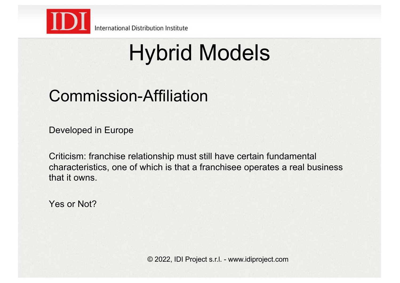

International Distribution Institute

# Hybrid Models

### Commission-Affiliation

Developed in Europe

Criticism: franchise relationship must still have certain fundamental characteristics, one of which is that a franchisee operates a real business that it owns.

Yes or Not?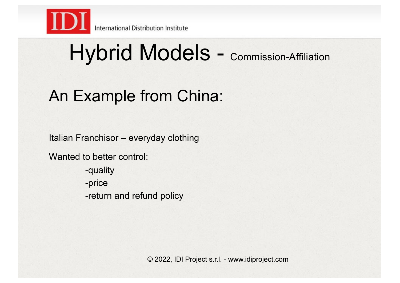

### An Example from China:

Italian Franchisor – everyday clothing

Wanted to better control:

-quality -price -return and refund policy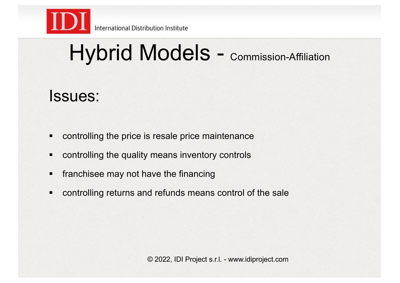

### Issues:

- **controlling the price is resale price maintenance**
- controlling the quality means inventory controls
- **F** franchisee may not have the financing
- **controlling returns and refunds means control of the sale**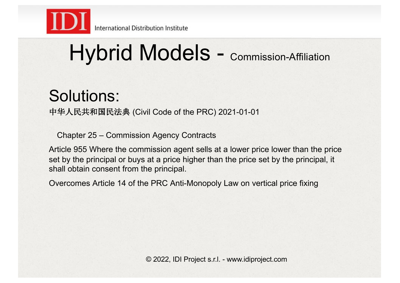

### Solutions:

中华人民共和国民法典 (Civil Code of the PRC) 2021-01-01

Chapter 25 – Commission Agency Contracts

Article 955 Where the commission agent sells at a lower price lower than the price set by the principal or buys at a price higher than the price set by the principal, it shall obtain consent from the principal.

Overcomes Article 14 of the PRC Anti-Monopoly Law on vertical price fixing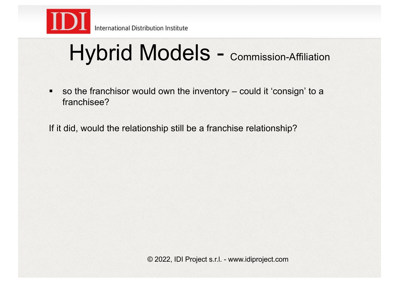

" so the franchisor would own the inventory – could it 'consign' to a franchisee?

If it did, would the relationship still be a franchise relationship?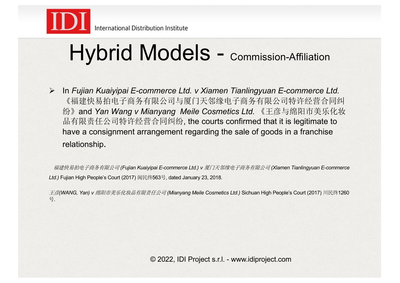

! In *Fujian Kuaiyipai E-commerce Ltd. v Xiamen Tianlingyuan E-commerce Ltd.* 《福建快易拍电子商务有限公司与厦门天邻缘电子商务有限公司特许经营合同纠 纷》and *Yan Wang v Mianyang Meile Cosmetics Ltd.* 《王彦与绵阳市美乐化妆 品有限责任公司特许经营合同纠纷, the courts confirmed that it is legitimate to have a consignment arrangement regarding the sale of goods in a franchise relationship.

福建快易拍电子商务有限公司 *(Fujian Kuaiyipai E-commerce Ltd.) v* 厦门天邻缘电子商务有限公司 *(Xiamen Tianlingyuan E-commerce Ltd.)* Fujian High People's Court (2017) 闽民终563号, dated January 23, 2018.

王彦*(WANG, Yan) v* 绵阳市美乐化妆品有限责任公司 *(Mianyang Meile Cosmetics Ltd.)* Sichuan High People's Court (2017) 川民终1260 号.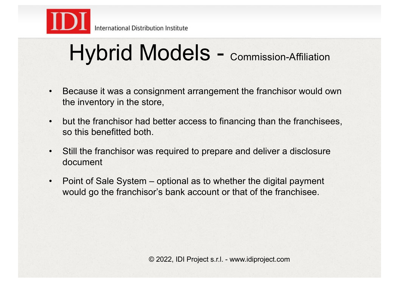

- Because it was a consignment arrangement the franchisor would own the inventory in the store,
- but the franchisor had better access to financing than the franchisees, so this benefitted both.
- Still the franchisor was required to prepare and deliver a disclosure document
- Point of Sale System optional as to whether the digital payment would go the franchisor's bank account or that of the franchisee.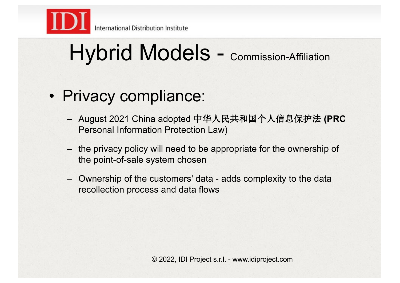

### • Privacy compliance:

- August 2021 China adopted 中华人民共和国个人信息保护法 **(PRC**  Personal Information Protection Law)
- the privacy policy will need to be appropriate for the ownership of the point-of-sale system chosen
- Ownership of the customers' data adds complexity to the data recollection process and data flows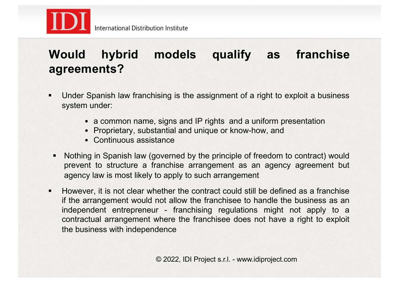

#### **Would hybrid models qualify as franchise agreements?**

- " Under Spanish law franchising is the assignment of a right to exploit a business system under:
	- a common name, signs and IP rights and a uniform presentation
	- Proprietary, substantial and unique or know-how, and
	- Continuous assistance
- Nothing in Spanish law (governed by the principle of freedom to contract) would prevent to structure a franchise arrangement as an agency agreement but agency law is most likely to apply to such arrangement
- " However, it is not clear whether the contract could still be defined as a franchise if the arrangement would not allow the franchisee to handle the business as an independent entrepreneur - franchising regulations might not apply to a contractual arrangement where the franchisee does not have a right to exploit the business with independence